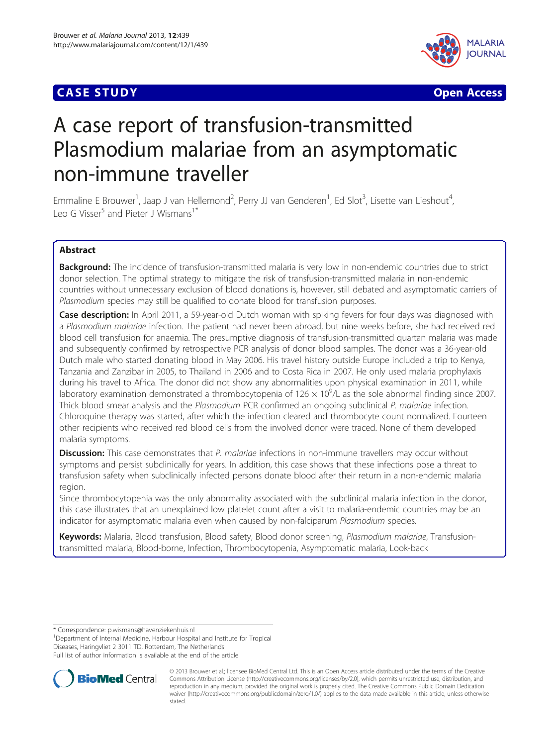



# A case report of transfusion-transmitted Plasmodium malariae from an asymptomatic non-immune traveller

Emmaline E Brouwer<sup>1</sup>, Jaap J van Hellemond<sup>2</sup>, Perry JJ van Genderen<sup>1</sup>, Ed Slot<sup>3</sup>, Lisette van Lieshout<sup>4</sup> , Leo G Visser<sup>5</sup> and Pieter J Wismans<sup>1\*</sup>

## Abstract

**Background:** The incidence of transfusion-transmitted malaria is very low in non-endemic countries due to strict donor selection. The optimal strategy to mitigate the risk of transfusion-transmitted malaria in non-endemic countries without unnecessary exclusion of blood donations is, however, still debated and asymptomatic carriers of Plasmodium species may still be qualified to donate blood for transfusion purposes.

**Case description:** In April 2011, a 59-year-old Dutch woman with spiking fevers for four days was diagnosed with a Plasmodium malariae infection. The patient had never been abroad, but nine weeks before, she had received red blood cell transfusion for anaemia. The presumptive diagnosis of transfusion-transmitted quartan malaria was made and subsequently confirmed by retrospective PCR analysis of donor blood samples. The donor was a 36-year-old Dutch male who started donating blood in May 2006. His travel history outside Europe included a trip to Kenya, Tanzania and Zanzibar in 2005, to Thailand in 2006 and to Costa Rica in 2007. He only used malaria prophylaxis during his travel to Africa. The donor did not show any abnormalities upon physical examination in 2011, while laboratory examination demonstrated a thrombocytopenia of 126  $\times$  10<sup>9</sup>/L as the sole abnormal finding since 2007. Thick blood smear analysis and the Plasmodium PCR confirmed an ongoing subclinical P. malariae infection. Chloroquine therapy was started, after which the infection cleared and thrombocyte count normalized. Fourteen other recipients who received red blood cells from the involved donor were traced. None of them developed malaria symptoms.

**Discussion:** This case demonstrates that P. malariae infections in non-immune travellers may occur without symptoms and persist subclinically for years. In addition, this case shows that these infections pose a threat to transfusion safety when subclinically infected persons donate blood after their return in a non-endemic malaria region.

Since thrombocytopenia was the only abnormality associated with the subclinical malaria infection in the donor, this case illustrates that an unexplained low platelet count after a visit to malaria-endemic countries may be an indicator for asymptomatic malaria even when caused by non-falciparum Plasmodium species.

Keywords: Malaria, Blood transfusion, Blood safety, Blood donor screening, Plasmodium malariae, Transfusiontransmitted malaria, Blood-borne, Infection, Thrombocytopenia, Asymptomatic malaria, Look-back

\* Correspondence: [p.wismans@havenziekenhuis.nl](mailto:p.wismans@havenziekenhuis.nl) <sup>1</sup>

<sup>1</sup>Department of Internal Medicine, Harbour Hospital and Institute for Tropical Diseases, Haringvliet 2 3011 TD, Rotterdam, The Netherlands

Full list of author information is available at the end of the article



© 2013 Brouwer et al.; licensee BioMed Central Ltd. This is an Open Access article distributed under the terms of the Creative Commons Attribution License [\(http://creativecommons.org/licenses/by/2.0\)](http://creativecommons.org/licenses/by/2.0), which permits unrestricted use, distribution, and reproduction in any medium, provided the original work is properly cited. The Creative Commons Public Domain Dedication waiver [\(http://creativecommons.org/publicdomain/zero/1.0/\)](http://creativecommons.org/publicdomain/zero/1.0/) applies to the data made available in this article, unless otherwise stated.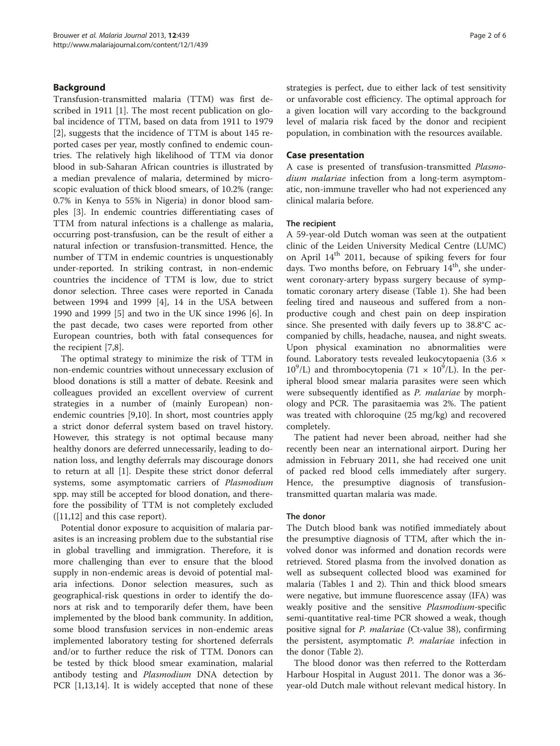## Background

Transfusion-transmitted malaria (TTM) was first de-scribed in 1911 [\[1](#page-5-0)]. The most recent publication on global incidence of TTM, based on data from 1911 to 1979 [[2\]](#page-5-0), suggests that the incidence of TTM is about 145 reported cases per year, mostly confined to endemic countries. The relatively high likelihood of TTM via donor blood in sub-Saharan African countries is illustrated by a median prevalence of malaria, determined by microscopic evaluation of thick blood smears, of 10.2% (range: 0.7% in Kenya to 55% in Nigeria) in donor blood samples [\[3](#page-5-0)]. In endemic countries differentiating cases of TTM from natural infections is a challenge as malaria, occurring post-transfusion, can be the result of either a natural infection or transfusion-transmitted. Hence, the number of TTM in endemic countries is unquestionably under-reported. In striking contrast, in non-endemic countries the incidence of TTM is low, due to strict donor selection. Three cases were reported in Canada between 1994 and 1999 [[4\]](#page-5-0), 14 in the USA between 1990 and 1999 [\[5](#page-5-0)] and two in the UK since 1996 [\[6](#page-5-0)]. In the past decade, two cases were reported from other European countries, both with fatal consequences for the recipient [[7](#page-5-0),[8](#page-5-0)].

The optimal strategy to minimize the risk of TTM in non-endemic countries without unnecessary exclusion of blood donations is still a matter of debate. Reesink and colleagues provided an excellent overview of current strategies in a number of (mainly European) nonendemic countries [\[9,10](#page-5-0)]. In short, most countries apply a strict donor deferral system based on travel history. However, this strategy is not optimal because many healthy donors are deferred unnecessarily, leading to donation loss, and lengthy deferrals may discourage donors to return at all [\[1](#page-5-0)]. Despite these strict donor deferral systems, some asymptomatic carriers of Plasmodium spp. may still be accepted for blood donation, and therefore the possibility of TTM is not completely excluded ([\[11,12\]](#page-5-0) and this case report).

Potential donor exposure to acquisition of malaria parasites is an increasing problem due to the substantial rise in global travelling and immigration. Therefore, it is more challenging than ever to ensure that the blood supply in non-endemic areas is devoid of potential malaria infections. Donor selection measures, such as geographical-risk questions in order to identify the donors at risk and to temporarily defer them, have been implemented by the blood bank community. In addition, some blood transfusion services in non-endemic areas implemented laboratory testing for shortened deferrals and/or to further reduce the risk of TTM. Donors can be tested by thick blood smear examination, malarial antibody testing and Plasmodium DNA detection by PCR [\[1](#page-5-0),[13,14](#page-5-0)]. It is widely accepted that none of these strategies is perfect, due to either lack of test sensitivity or unfavorable cost efficiency. The optimal approach for a given location will vary according to the background level of malaria risk faced by the donor and recipient population, in combination with the resources available.

## Case presentation

A case is presented of transfusion-transmitted Plasmodium malariae infection from a long-term asymptomatic, non-immune traveller who had not experienced any clinical malaria before.

## The recipient

A 59-year-old Dutch woman was seen at the outpatient clinic of the Leiden University Medical Centre (LUMC) on April 14<sup>th</sup> 2011, because of spiking fevers for four days. Two months before, on February  $14<sup>th</sup>$ , she underwent coronary-artery bypass surgery because of symptomatic coronary artery disease (Table [1](#page-2-0)). She had been feeling tired and nauseous and suffered from a nonproductive cough and chest pain on deep inspiration since. She presented with daily fevers up to 38.8°C accompanied by chills, headache, nausea, and night sweats. Upon physical examination no abnormalities were found. Laboratory tests revealed leukocytopaenia (3.6 ×  $10^9$ /L) and thrombocytopenia (71 ×  $10^9$ /L). In the peripheral blood smear malaria parasites were seen which were subsequently identified as P. malariae by morphology and PCR. The parasitaemia was 2%. The patient was treated with chloroquine (25 mg/kg) and recovered completely.

The patient had never been abroad, neither had she recently been near an international airport. During her admission in February 2011, she had received one unit of packed red blood cells immediately after surgery. Hence, the presumptive diagnosis of transfusiontransmitted quartan malaria was made.

## The donor

The Dutch blood bank was notified immediately about the presumptive diagnosis of TTM, after which the involved donor was informed and donation records were retrieved. Stored plasma from the involved donation as well as subsequent collected blood was examined for malaria (Tables [1](#page-2-0) and [2\)](#page-3-0). Thin and thick blood smears were negative, but immune fluorescence assay (IFA) was weakly positive and the sensitive Plasmodium-specific semi-quantitative real-time PCR showed a weak, though positive signal for P. malariae (Ct-value 38), confirming the persistent, asymptomatic P. malariae infection in the donor (Table [2](#page-3-0)).

The blood donor was then referred to the Rotterdam Harbour Hospital in August 2011. The donor was a 36 year-old Dutch male without relevant medical history. In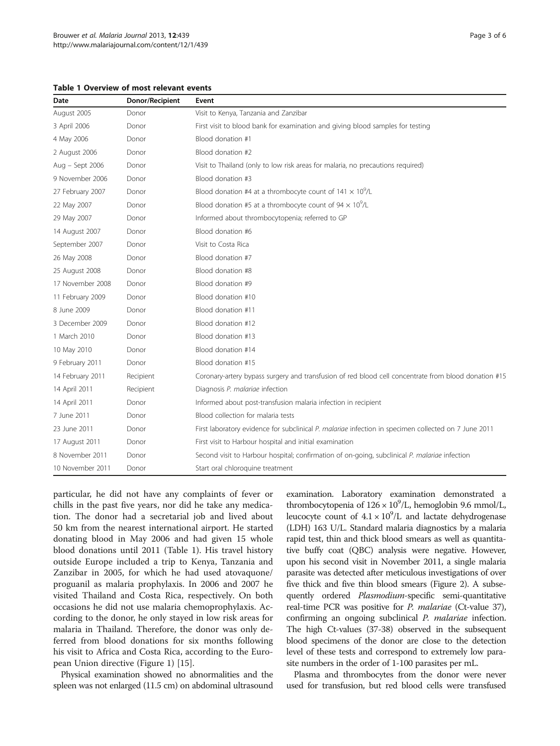<span id="page-2-0"></span>Table 1 Overview of most relevant events

| Date             | Donor/Recipient | Event                                                                                                |  |
|------------------|-----------------|------------------------------------------------------------------------------------------------------|--|
| August 2005      | Donor           | Visit to Kenya, Tanzania and Zanzibar                                                                |  |
| 3 April 2006     | Donor           | First visit to blood bank for examination and giving blood samples for testing                       |  |
| 4 May 2006       | Donor           | Blood donation #1                                                                                    |  |
| 2 August 2006    | Donor           | Blood donation #2                                                                                    |  |
| Aug - Sept 2006  | Donor           | Visit to Thailand (only to low risk areas for malaria, no precautions required)                      |  |
| 9 November 2006  | Donor           | Blood donation #3                                                                                    |  |
| 27 February 2007 | Donor           | Blood donation #4 at a thrombocyte count of $141 \times 10^9$ /L                                     |  |
| 22 May 2007      | Donor           | Blood donation #5 at a thrombocyte count of $94 \times 10^9$ /L                                      |  |
| 29 May 2007      | Donor           | Informed about thrombocytopenia; referred to GP                                                      |  |
| 14 August 2007   | Donor           | Blood donation #6                                                                                    |  |
| September 2007   | Donor           | Visit to Costa Rica                                                                                  |  |
| 26 May 2008      | Donor           | Blood donation #7                                                                                    |  |
| 25 August 2008   | Donor           | Blood donation #8                                                                                    |  |
| 17 November 2008 | Donor           | Blood donation #9                                                                                    |  |
| 11 February 2009 | Donor           | Blood donation #10                                                                                   |  |
| 8 June 2009      | Donor           | Blood donation #11                                                                                   |  |
| 3 December 2009  | Donor           | Blood donation #12                                                                                   |  |
| 1 March 2010     | Donor           | Blood donation #13                                                                                   |  |
| 10 May 2010      | Donor           | Blood donation #14                                                                                   |  |
| 9 February 2011  | Donor           | Blood donation #15                                                                                   |  |
| 14 February 2011 | Recipient       | Coronary-artery bypass surgery and transfusion of red blood cell concentrate from blood donation #15 |  |
| 14 April 2011    | Recipient       | Diagnosis P. malariae infection                                                                      |  |
| 14 April 2011    | Donor           | Informed about post-transfusion malaria infection in recipient                                       |  |
| 7 June 2011      | Donor           | Blood collection for malaria tests                                                                   |  |
| 23 June 2011     | Donor           | First laboratory evidence for subclinical P. malariae infection in specimen collected on 7 June 2011 |  |
| 17 August 2011   | Donor           | First visit to Harbour hospital and initial examination                                              |  |
| 8 November 2011  | Donor           | Second visit to Harbour hospital; confirmation of on-going, subclinical P. malariae infection        |  |
| 10 November 2011 | Donor           | Start oral chloroquine treatment                                                                     |  |

particular, he did not have any complaints of fever or chills in the past five years, nor did he take any medication. The donor had a secretarial job and lived about 50 km from the nearest international airport. He started donating blood in May 2006 and had given 15 whole blood donations until 2011 (Table 1). His travel history outside Europe included a trip to Kenya, Tanzania and Zanzibar in 2005, for which he had used atovaquone/ proguanil as malaria prophylaxis. In 2006 and 2007 he visited Thailand and Costa Rica, respectively. On both occasions he did not use malaria chemoprophylaxis. According to the donor, he only stayed in low risk areas for malaria in Thailand. Therefore, the donor was only deferred from blood donations for six months following his visit to Africa and Costa Rica, according to the European Union directive (Figure [1](#page-4-0)) [[15](#page-5-0)].

Physical examination showed no abnormalities and the spleen was not enlarged (11.5 cm) on abdominal ultrasound

examination. Laboratory examination demonstrated a thrombocytopenia of  $126 \times 10^9$ /L, hemoglobin 9.6 mmol/L, leucocyte count of  $4.1 \times 10^9$ /L and lactate dehydrogenase (LDH) 163 U/L. Standard malaria diagnostics by a malaria rapid test, thin and thick blood smears as well as quantitative buffy coat (QBC) analysis were negative. However, upon his second visit in November 2011, a single malaria parasite was detected after meticulous investigations of over five thick and five thin blood smears (Figure [2\)](#page-4-0). A subsequently ordered *Plasmodium-specific* semi-quantitative real-time PCR was positive for P. malariae (Ct-value 37), confirming an ongoing subclinical *P. malariae* infection. The high Ct-values (37-38) observed in the subsequent blood specimens of the donor are close to the detection level of these tests and correspond to extremely low parasite numbers in the order of 1-100 parasites per mL.

Plasma and thrombocytes from the donor were never used for transfusion, but red blood cells were transfused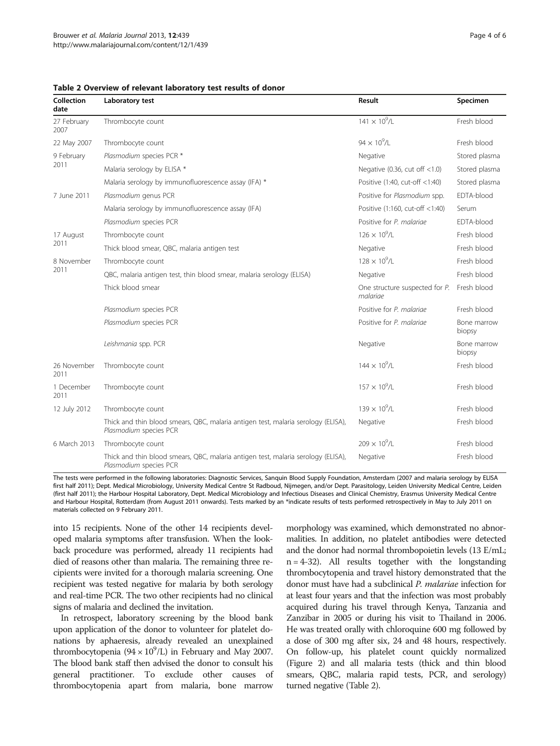<span id="page-3-0"></span>

| Collection<br>date  | Laboratory test                                                                                             | Result                                     | Specimen              |
|---------------------|-------------------------------------------------------------------------------------------------------------|--------------------------------------------|-----------------------|
| 27 February<br>2007 | Thrombocyte count                                                                                           | $141 \times 10^{9}$ /L                     | Fresh blood           |
| 22 May 2007         | Thrombocyte count                                                                                           | $94 \times 10^{9}$ /L                      | Fresh blood           |
| 9 February<br>2011  | Plasmodium species PCR *                                                                                    | Negative                                   | Stored plasma         |
|                     | Malaria serology by ELISA *                                                                                 | Negative (0.36, cut off $<1.0$ )           | Stored plasma         |
|                     | Malaria serology by immunofluorescence assay (IFA) *                                                        | Positive (1:40, cut-off <1:40)             | Stored plasma         |
| 7 June 2011         | Plasmodium genus PCR                                                                                        | Positive for Plasmodium spp.               | EDTA-blood            |
|                     | Malaria serology by immunofluorescence assay (IFA)                                                          | Positive (1:160, cut-off <1:40)            | Serum                 |
|                     | Plasmodium species PCR                                                                                      | Positive for P. malariae                   | EDTA-blood            |
| 17 August<br>2011   | Thrombocyte count                                                                                           | $126 \times 10^{9}$ /l                     | Fresh blood           |
|                     | Thick blood smear, QBC, malaria antigen test                                                                | Negative                                   | Fresh blood           |
| 8 November<br>2011  | Thrombocyte count                                                                                           | $128 \times 10^{9}$ /l                     | Fresh blood           |
|                     | QBC, malaria antigen test, thin blood smear, malaria serology (ELISA)                                       | Negative                                   | Fresh blood           |
|                     | Thick blood smear                                                                                           | One structure suspected for P.<br>malariae | Fresh blood           |
|                     | Plasmodium species PCR                                                                                      | Positive for P. malariae                   | Fresh blood           |
|                     | Plasmodium species PCR                                                                                      | Positive for P. malariae                   | Bone marrow<br>biopsy |
|                     | Leishmania spp. PCR                                                                                         | Negative                                   | Bone marrow<br>biopsy |
| 26 November<br>2011 | Thrombocyte count                                                                                           | $144 \times 10^{9}$ /L                     | Fresh blood           |
| 1 December<br>2011  | Thrombocyte count                                                                                           | $157 \times 10^{9}$ /I                     | Fresh blood           |
| 12 July 2012        | Thrombocyte count                                                                                           | $139 \times 10^{9}$ /I                     | Fresh blood           |
|                     | Thick and thin blood smears, QBC, malaria antigen test, malaria serology (ELISA),<br>Plasmodium species PCR | Negative                                   | Fresh blood           |
| 6 March 2013        | Thrombocyte count                                                                                           | $209 \times 10^{9}$ /I                     | Fresh blood           |
|                     | Thick and thin blood smears, QBC, malaria antigen test, malaria serology (ELISA),<br>Plasmodium species PCR | Negative                                   | Fresh blood           |

The tests were performed in the following laboratories: Diagnostic Services, Sanquin Blood Supply Foundation, Amsterdam (2007 and malaria serology by ELISA first half 2011); Dept. Medical Microbiology, University Medical Centre St Radboud, Nijmegen, and/or Dept. Parasitology, Leiden University Medical Centre, Leiden (first half 2011); the Harbour Hospital Laboratory, Dept. Medical Microbiology and Infectious Diseases and Clinical Chemistry, Erasmus University Medical Centre and Harbour Hospital, Rotterdam (from August 2011 onwards). Tests marked by an \*indicate results of tests performed retrospectively in May to July 2011 on materials collected on 9 February 2011.

into 15 recipients. None of the other 14 recipients developed malaria symptoms after transfusion. When the lookback procedure was performed, already 11 recipients had died of reasons other than malaria. The remaining three recipients were invited for a thorough malaria screening. One recipient was tested negative for malaria by both serology and real-time PCR. The two other recipients had no clinical signs of malaria and declined the invitation.

In retrospect, laboratory screening by the blood bank upon application of the donor to volunteer for platelet donations by aphaeresis, already revealed an unexplained thrombocytopenia  $(94 \times 10^9$ /L) in February and May 2007. The blood bank staff then advised the donor to consult his general practitioner. To exclude other causes of thrombocytopenia apart from malaria, bone marrow morphology was examined, which demonstrated no abnormalities. In addition, no platelet antibodies were detected and the donor had normal thrombopoietin levels (13 E/mL;  $n = 4-32$ ). All results together with the longstanding thrombocytopenia and travel history demonstrated that the donor must have had a subclinical P. malariae infection for at least four years and that the infection was most probably acquired during his travel through Kenya, Tanzania and Zanzibar in 2005 or during his visit to Thailand in 2006. He was treated orally with chloroquine 600 mg followed by a dose of 300 mg after six, 24 and 48 hours, respectively. On follow-up, his platelet count quickly normalized (Figure [2](#page-4-0)) and all malaria tests (thick and thin blood smears, QBC, malaria rapid tests, PCR, and serology) turned negative (Table 2).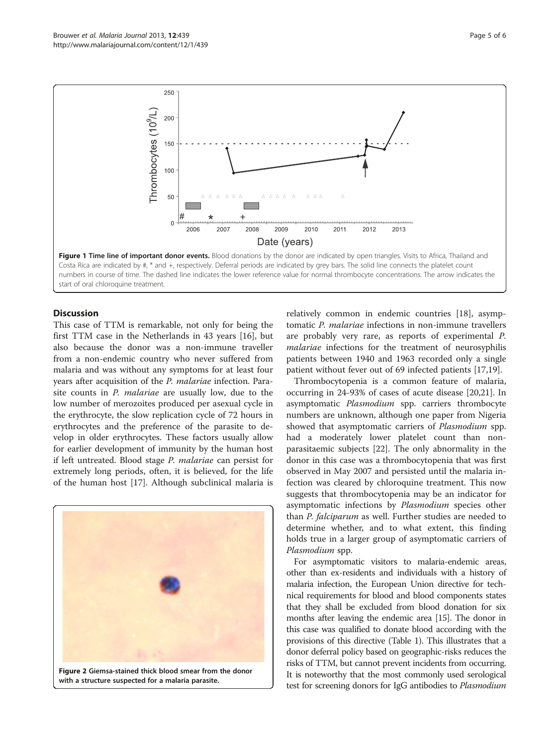<span id="page-4-0"></span>

## **Discussion**

This case of TTM is remarkable, not only for being the first TTM case in the Netherlands in 43 years [\[16\]](#page-5-0), but also because the donor was a non-immune traveller from a non-endemic country who never suffered from malaria and was without any symptoms for at least four years after acquisition of the P. malariae infection. Parasite counts in P. malariae are usually low, due to the low number of merozoites produced per asexual cycle in the erythrocyte, the slow replication cycle of 72 hours in erythrocytes and the preference of the parasite to develop in older erythrocytes. These factors usually allow for earlier development of immunity by the human host if left untreated. Blood stage P. malariae can persist for extremely long periods, often, it is believed, for the life of the human host [[17\]](#page-5-0). Although subclinical malaria is



with a structure suspected for a malaria parasite.

relatively common in endemic countries [\[18](#page-5-0)], asymptomatic P. malariae infections in non-immune travellers are probably very rare, as reports of experimental P. malariae infections for the treatment of neurosyphilis patients between 1940 and 1963 recorded only a single patient without fever out of 69 infected patients [\[17,19](#page-5-0)].

Thrombocytopenia is a common feature of malaria, occurring in 24-93% of cases of acute disease [\[20,21](#page-5-0)]. In asymptomatic Plasmodium spp. carriers thrombocyte numbers are unknown, although one paper from Nigeria showed that asymptomatic carriers of *Plasmodium* spp. had a moderately lower platelet count than nonparasitaemic subjects [[22\]](#page-5-0). The only abnormality in the donor in this case was a thrombocytopenia that was first observed in May 2007 and persisted until the malaria infection was cleared by chloroquine treatment. This now suggests that thrombocytopenia may be an indicator for asymptomatic infections by Plasmodium species other than P. falciparum as well. Further studies are needed to determine whether, and to what extent, this finding holds true in a larger group of asymptomatic carriers of Plasmodium spp.

For asymptomatic visitors to malaria-endemic areas, other than ex-residents and individuals with a history of malaria infection, the European Union directive for technical requirements for blood and blood components states that they shall be excluded from blood donation for six months after leaving the endemic area [\[15\]](#page-5-0). The donor in this case was qualified to donate blood according with the provisions of this directive (Table [1\)](#page-2-0). This illustrates that a donor deferral policy based on geographic-risks reduces the risks of TTM, but cannot prevent incidents from occurring. It is noteworthy that the most commonly used serological test for screening donors for IgG antibodies to Plasmodium